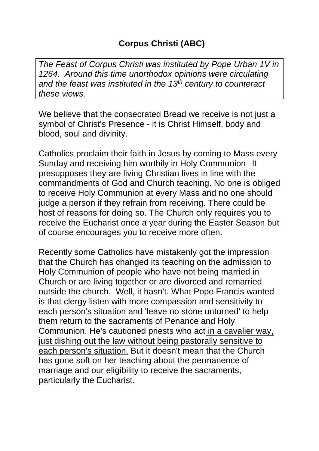*The Feast of Corpus Christi was instituted by Pope Urban 1V in 1264. Around this time unorthodox opinions were circulating and the feast was instituted in the 13th century to counteract these views.*

We believe that the consecrated Bread we receive is not just a symbol of Christ's Presence - it is Christ Himself, body and blood, soul and divinity.

Catholics proclaim their faith in Jesus by coming to Mass every Sunday and receiving him worthily in Holy Communion. It presupposes they are living Christian lives in line with the commandments of God and Church teaching. No one is obliged to receive Holy Communion at every Mass and no one should judge a person if they refrain from receiving. There could be host of reasons for doing so. The Church only requires you to receive the Eucharist once a year during the Easter Season but of course encourages you to receive more often.

Recently some Catholics have mistakenly got the impression that the Church has changed its teaching on the admission to Holy Communion of people who have not being married in Church or are living together or are divorced and remarried outside the church. Well, it hasn't. What Pope Francis wanted is that clergy listen with more compassion and sensitivity to each person's situation and 'leave no stone unturned' to help them return to the sacraments of Penance and Holy Communion. He's cautioned priests who act in a cavalier way, just dishing out the law without being pastorally sensitive to each person's situation. But it doesn't mean that the Church has gone soft on her teaching about the permanence of marriage and our eligibility to receive the sacraments, particularly the Eucharist.